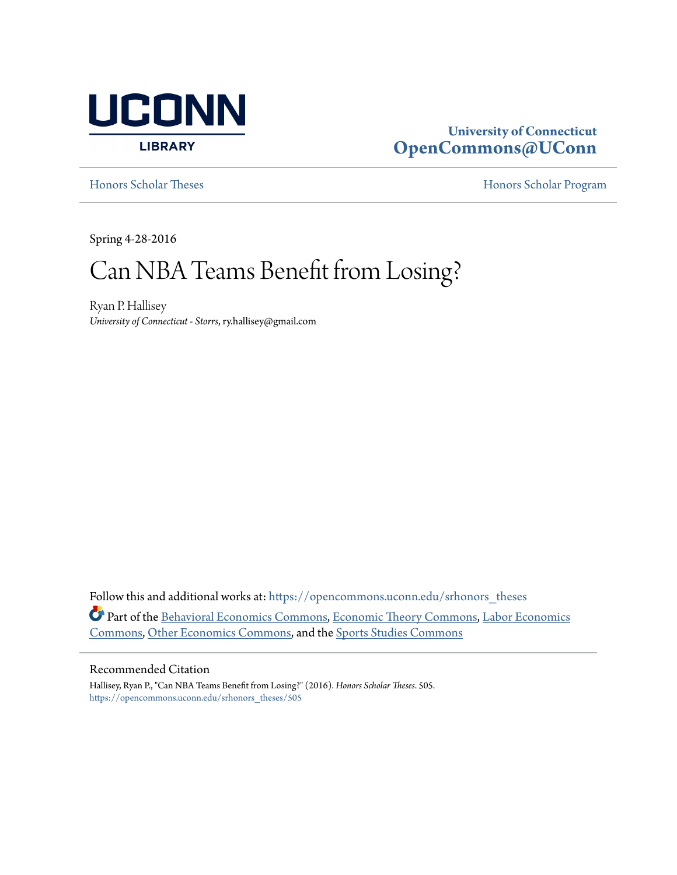

# **University of Connecticut [OpenCommons@UConn](https://opencommons.uconn.edu?utm_source=opencommons.uconn.edu%2Fsrhonors_theses%2F505&utm_medium=PDF&utm_campaign=PDFCoverPages)**

[Honors Scholar Theses](https://opencommons.uconn.edu/srhonors_theses?utm_source=opencommons.uconn.edu%2Fsrhonors_theses%2F505&utm_medium=PDF&utm_campaign=PDFCoverPages) [Honors Scholar Program](https://opencommons.uconn.edu/srhonors?utm_source=opencommons.uconn.edu%2Fsrhonors_theses%2F505&utm_medium=PDF&utm_campaign=PDFCoverPages)

Spring 4-28-2016

# Can NBA Teams Benefit from Losing?

Ryan P. Hallisey *University of Connecticut - Storrs*, ry.hallisey@gmail.com

Follow this and additional works at: [https://opencommons.uconn.edu/srhonors\\_theses](https://opencommons.uconn.edu/srhonors_theses?utm_source=opencommons.uconn.edu%2Fsrhonors_theses%2F505&utm_medium=PDF&utm_campaign=PDFCoverPages) Part of the [Behavioral Economics Commons](http://network.bepress.com/hgg/discipline/341?utm_source=opencommons.uconn.edu%2Fsrhonors_theses%2F505&utm_medium=PDF&utm_campaign=PDFCoverPages), [Economic Theory Commons,](http://network.bepress.com/hgg/discipline/344?utm_source=opencommons.uconn.edu%2Fsrhonors_theses%2F505&utm_medium=PDF&utm_campaign=PDFCoverPages) [Labor Economics](http://network.bepress.com/hgg/discipline/349?utm_source=opencommons.uconn.edu%2Fsrhonors_theses%2F505&utm_medium=PDF&utm_campaign=PDFCoverPages) [Commons,](http://network.bepress.com/hgg/discipline/349?utm_source=opencommons.uconn.edu%2Fsrhonors_theses%2F505&utm_medium=PDF&utm_campaign=PDFCoverPages) [Other Economics Commons](http://network.bepress.com/hgg/discipline/353?utm_source=opencommons.uconn.edu%2Fsrhonors_theses%2F505&utm_medium=PDF&utm_campaign=PDFCoverPages), and the [Sports Studies Commons](http://network.bepress.com/hgg/discipline/1198?utm_source=opencommons.uconn.edu%2Fsrhonors_theses%2F505&utm_medium=PDF&utm_campaign=PDFCoverPages)

#### Recommended Citation

Hallisey, Ryan P., "Can NBA Teams Benefit from Losing?" (2016). *Honors Scholar Theses*. 505. [https://opencommons.uconn.edu/srhonors\\_theses/505](https://opencommons.uconn.edu/srhonors_theses/505?utm_source=opencommons.uconn.edu%2Fsrhonors_theses%2F505&utm_medium=PDF&utm_campaign=PDFCoverPages)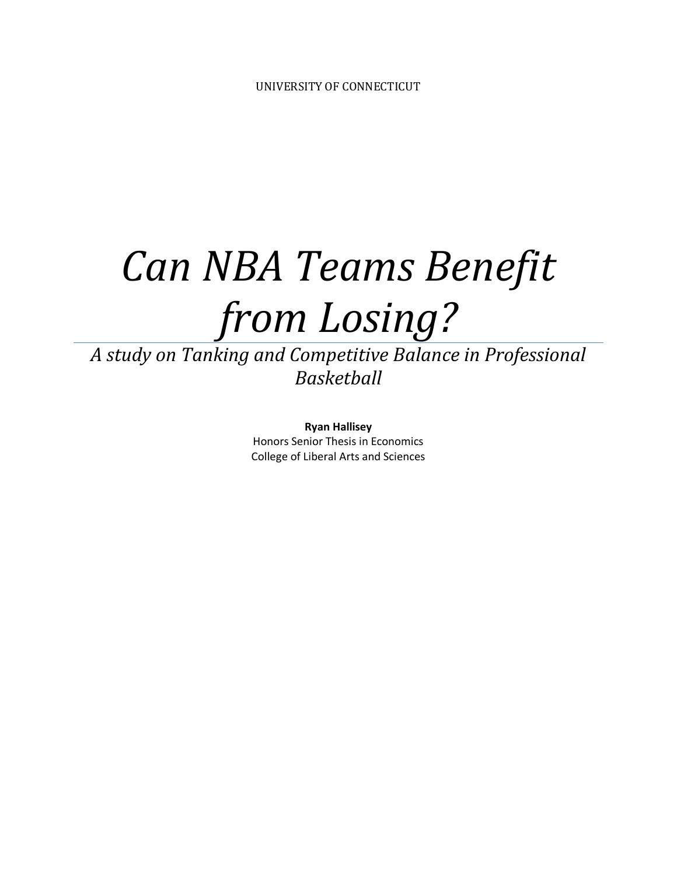# *Can NBA Teams Benefit from Losing?*

*A study on Tanking and Competitive Balance in Professional Basketball* 

> **Ryan Hallisey**  Honors Senior Thesis in Economics College of Liberal Arts and Sciences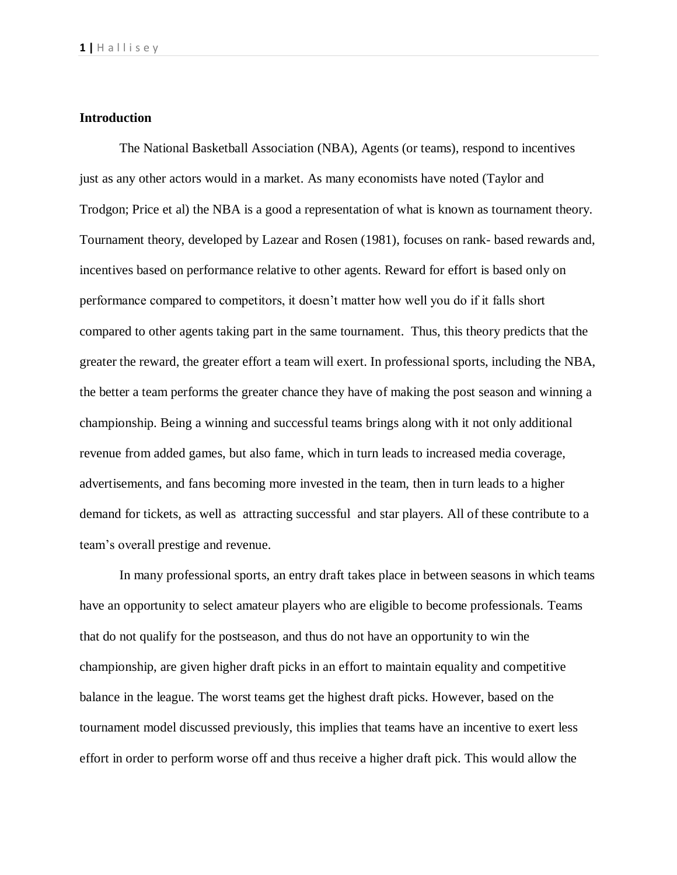# **Introduction**

The National Basketball Association (NBA), Agents (or teams), respond to incentives just as any other actors would in a market. As many economists have noted (Taylor and Trodgon; Price et al) the NBA is a good a representation of what is known as tournament theory. Tournament theory, developed by Lazear and Rosen (1981), focuses on rank- based rewards and, incentives based on performance relative to other agents. Reward for effort is based only on performance compared to competitors, it doesn't matter how well you do if it falls short compared to other agents taking part in the same tournament. Thus, this theory predicts that the greater the reward, the greater effort a team will exert. In professional sports, including the NBA, the better a team performs the greater chance they have of making the post season and winning a championship. Being a winning and successful teams brings along with it not only additional revenue from added games, but also fame, which in turn leads to increased media coverage, advertisements, and fans becoming more invested in the team, then in turn leads to a higher demand for tickets, as well as attracting successful and star players. All of these contribute to a team's overall prestige and revenue.

In many professional sports, an entry draft takes place in between seasons in which teams have an opportunity to select amateur players who are eligible to become professionals. Teams that do not qualify for the postseason, and thus do not have an opportunity to win the championship, are given higher draft picks in an effort to maintain equality and competitive balance in the league. The worst teams get the highest draft picks. However, based on the tournament model discussed previously, this implies that teams have an incentive to exert less effort in order to perform worse off and thus receive a higher draft pick. This would allow the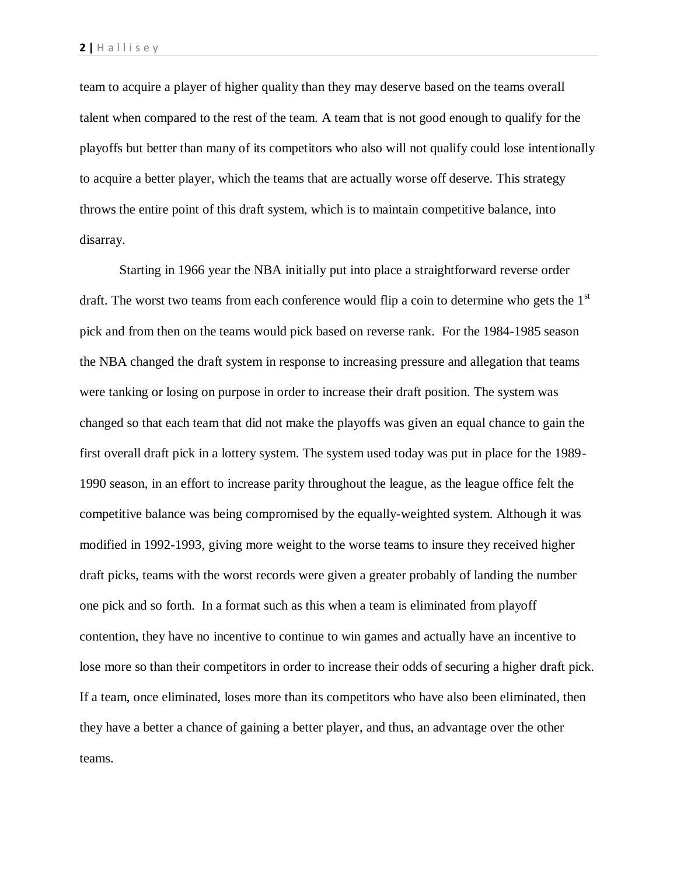team to acquire a player of higher quality than they may deserve based on the teams overall talent when compared to the rest of the team. A team that is not good enough to qualify for the playoffs but better than many of its competitors who also will not qualify could lose intentionally to acquire a better player, which the teams that are actually worse off deserve. This strategy throws the entire point of this draft system, which is to maintain competitive balance, into disarray.

Starting in 1966 year the NBA initially put into place a straightforward reverse order draft. The worst two teams from each conference would flip a coin to determine who gets the 1<sup>st</sup> pick and from then on the teams would pick based on reverse rank. For the 1984-1985 season the NBA changed the draft system in response to increasing pressure and allegation that teams were tanking or losing on purpose in order to increase their draft position. The system was changed so that each team that did not make the playoffs was given an equal chance to gain the first overall draft pick in a lottery system. The system used today was put in place for the 1989- 1990 season, in an effort to increase parity throughout the league, as the league office felt the competitive balance was being compromised by the equally-weighted system. Although it was modified in 1992-1993, giving more weight to the worse teams to insure they received higher draft picks, teams with the worst records were given a greater probably of landing the number one pick and so forth. In a format such as this when a team is eliminated from playoff contention, they have no incentive to continue to win games and actually have an incentive to lose more so than their competitors in order to increase their odds of securing a higher draft pick. If a team, once eliminated, loses more than its competitors who have also been eliminated, then they have a better a chance of gaining a better player, and thus, an advantage over the other teams.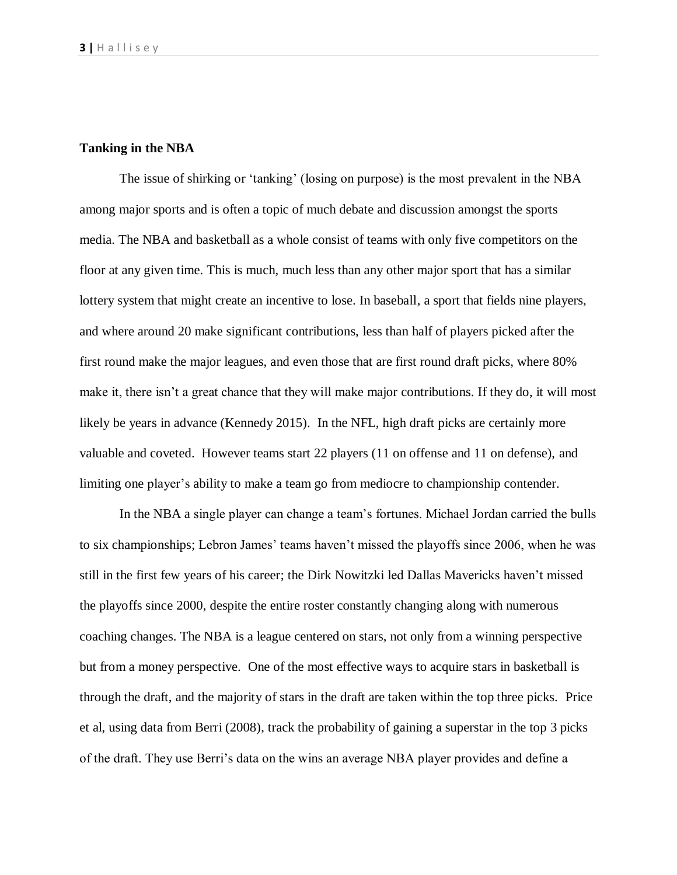# **Tanking in the NBA**

The issue of shirking or 'tanking' (losing on purpose) is the most prevalent in the NBA among major sports and is often a topic of much debate and discussion amongst the sports media. The NBA and basketball as a whole consist of teams with only five competitors on the floor at any given time. This is much, much less than any other major sport that has a similar lottery system that might create an incentive to lose. In baseball, a sport that fields nine players, and where around 20 make significant contributions, less than half of players picked after the first round make the major leagues, and even those that are first round draft picks, where 80% make it, there isn't a great chance that they will make major contributions. If they do, it will most likely be years in advance (Kennedy 2015). In the NFL, high draft picks are certainly more valuable and coveted. However teams start 22 players (11 on offense and 11 on defense), and limiting one player's ability to make a team go from mediocre to championship contender.

In the NBA a single player can change a team's fortunes. Michael Jordan carried the bulls to six championships; Lebron James' teams haven't missed the playoffs since 2006, when he was still in the first few years of his career; the Dirk Nowitzki led Dallas Mavericks haven't missed the playoffs since 2000, despite the entire roster constantly changing along with numerous coaching changes. The NBA is a league centered on stars, not only from a winning perspective but from a money perspective. One of the most effective ways to acquire stars in basketball is through the draft, and the majority of stars in the draft are taken within the top three picks. Price et al, using data from Berri (2008), track the probability of gaining a superstar in the top 3 picks of the draft. They use Berri's data on the wins an average NBA player provides and define a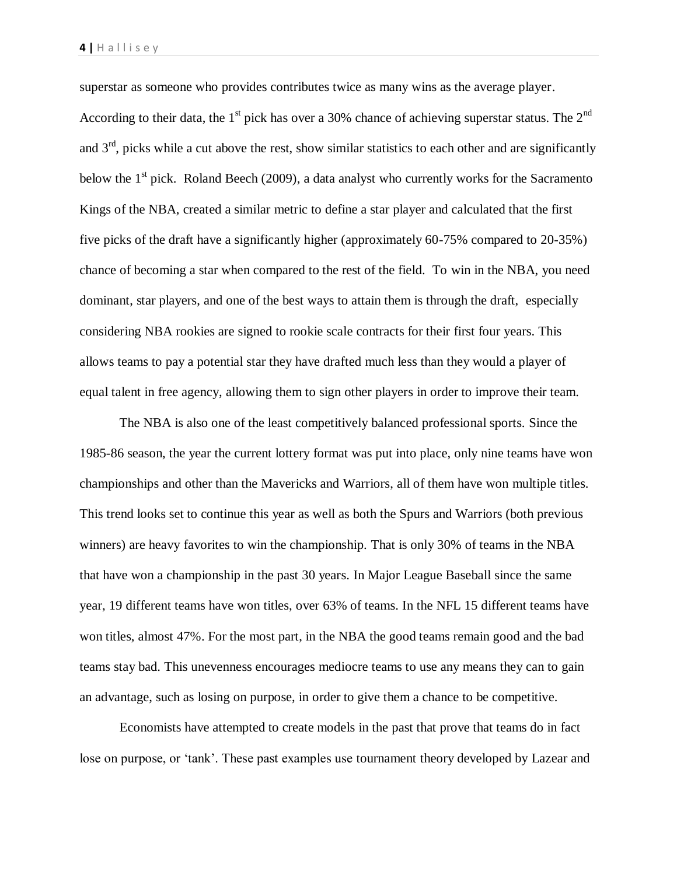superstar as someone who provides contributes twice as many wins as the average player.

According to their data, the  $1<sup>st</sup>$  pick has over a 30% chance of achieving superstar status. The  $2<sup>nd</sup>$ and  $3<sup>rd</sup>$ , picks while a cut above the rest, show similar statistics to each other and are significantly below the  $1<sup>st</sup>$  pick. Roland Beech (2009), a data analyst who currently works for the Sacramento Kings of the NBA, created a similar metric to define a star player and calculated that the first five picks of the draft have a significantly higher (approximately 60-75% compared to 20-35%) chance of becoming a star when compared to the rest of the field. To win in the NBA, you need dominant, star players, and one of the best ways to attain them is through the draft, especially considering NBA rookies are signed to rookie scale contracts for their first four years. This allows teams to pay a potential star they have drafted much less than they would a player of equal talent in free agency, allowing them to sign other players in order to improve their team.

The NBA is also one of the least competitively balanced professional sports. Since the 1985-86 season, the year the current lottery format was put into place, only nine teams have won championships and other than the Mavericks and Warriors, all of them have won multiple titles. This trend looks set to continue this year as well as both the Spurs and Warriors (both previous winners) are heavy favorites to win the championship. That is only 30% of teams in the NBA that have won a championship in the past 30 years. In Major League Baseball since the same year, 19 different teams have won titles, over 63% of teams. In the NFL 15 different teams have won titles, almost 47%. For the most part, in the NBA the good teams remain good and the bad teams stay bad. This unevenness encourages mediocre teams to use any means they can to gain an advantage, such as losing on purpose, in order to give them a chance to be competitive.

Economists have attempted to create models in the past that prove that teams do in fact lose on purpose, or 'tank'. These past examples use tournament theory developed by Lazear and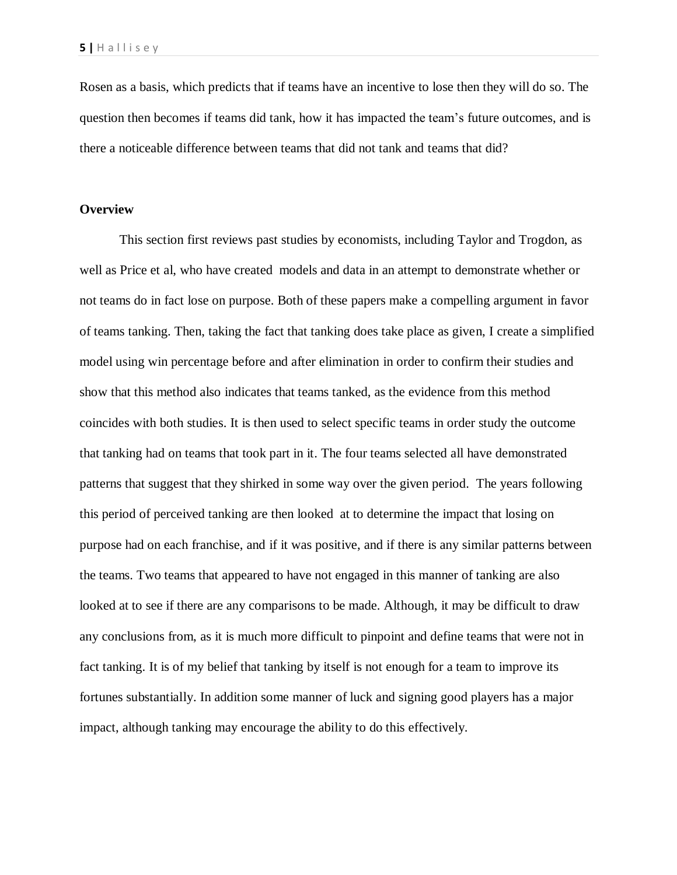Rosen as a basis, which predicts that if teams have an incentive to lose then they will do so. The question then becomes if teams did tank, how it has impacted the team's future outcomes, and is there a noticeable difference between teams that did not tank and teams that did?

## **Overview**

This section first reviews past studies by economists, including Taylor and Trogdon, as well as Price et al, who have created models and data in an attempt to demonstrate whether or not teams do in fact lose on purpose. Both of these papers make a compelling argument in favor of teams tanking. Then, taking the fact that tanking does take place as given, I create a simplified model using win percentage before and after elimination in order to confirm their studies and show that this method also indicates that teams tanked, as the evidence from this method coincides with both studies. It is then used to select specific teams in order study the outcome that tanking had on teams that took part in it. The four teams selected all have demonstrated patterns that suggest that they shirked in some way over the given period. The years following this period of perceived tanking are then looked at to determine the impact that losing on purpose had on each franchise, and if it was positive, and if there is any similar patterns between the teams. Two teams that appeared to have not engaged in this manner of tanking are also looked at to see if there are any comparisons to be made. Although, it may be difficult to draw any conclusions from, as it is much more difficult to pinpoint and define teams that were not in fact tanking. It is of my belief that tanking by itself is not enough for a team to improve its fortunes substantially. In addition some manner of luck and signing good players has a major impact, although tanking may encourage the ability to do this effectively.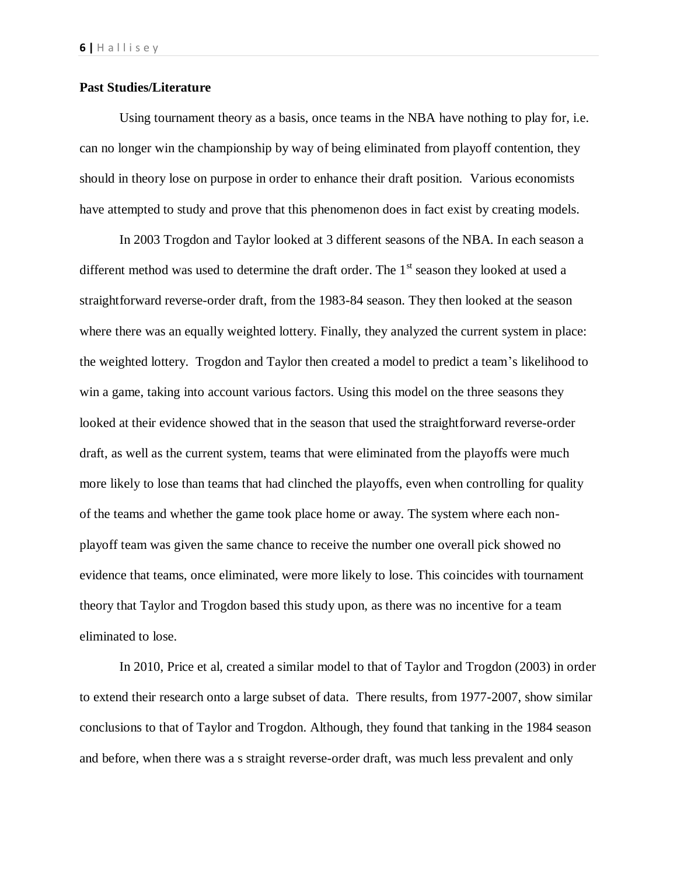# **Past Studies/Literature**

Using tournament theory as a basis, once teams in the NBA have nothing to play for, i.e. can no longer win the championship by way of being eliminated from playoff contention, they should in theory lose on purpose in order to enhance their draft position. Various economists have attempted to study and prove that this phenomenon does in fact exist by creating models.

In 2003 Trogdon and Taylor looked at 3 different seasons of the NBA. In each season a different method was used to determine the draft order. The  $1<sup>st</sup>$  season they looked at used a straightforward reverse-order draft, from the 1983-84 season. They then looked at the season where there was an equally weighted lottery. Finally, they analyzed the current system in place: the weighted lottery. Trogdon and Taylor then created a model to predict a team's likelihood to win a game, taking into account various factors. Using this model on the three seasons they looked at their evidence showed that in the season that used the straightforward reverse-order draft, as well as the current system, teams that were eliminated from the playoffs were much more likely to lose than teams that had clinched the playoffs, even when controlling for quality of the teams and whether the game took place home or away. The system where each nonplayoff team was given the same chance to receive the number one overall pick showed no evidence that teams, once eliminated, were more likely to lose. This coincides with tournament theory that Taylor and Trogdon based this study upon, as there was no incentive for a team eliminated to lose.

In 2010, Price et al, created a similar model to that of Taylor and Trogdon (2003) in order to extend their research onto a large subset of data. There results, from 1977-2007, show similar conclusions to that of Taylor and Trogdon. Although, they found that tanking in the 1984 season and before, when there was a s straight reverse-order draft, was much less prevalent and only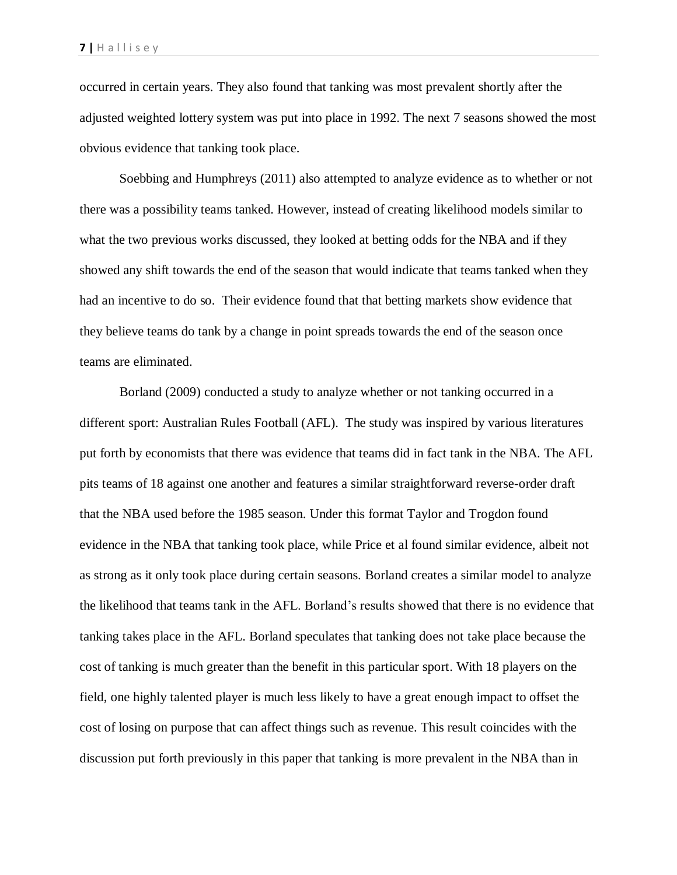occurred in certain years. They also found that tanking was most prevalent shortly after the adjusted weighted lottery system was put into place in 1992. The next 7 seasons showed the most obvious evidence that tanking took place.

Soebbing and Humphreys (2011) also attempted to analyze evidence as to whether or not there was a possibility teams tanked. However, instead of creating likelihood models similar to what the two previous works discussed, they looked at betting odds for the NBA and if they showed any shift towards the end of the season that would indicate that teams tanked when they had an incentive to do so. Their evidence found that that betting markets show evidence that they believe teams do tank by a change in point spreads towards the end of the season once teams are eliminated.

Borland (2009) conducted a study to analyze whether or not tanking occurred in a different sport: Australian Rules Football (AFL). The study was inspired by various literatures put forth by economists that there was evidence that teams did in fact tank in the NBA. The AFL pits teams of 18 against one another and features a similar straightforward reverse-order draft that the NBA used before the 1985 season. Under this format Taylor and Trogdon found evidence in the NBA that tanking took place, while Price et al found similar evidence, albeit not as strong as it only took place during certain seasons. Borland creates a similar model to analyze the likelihood that teams tank in the AFL. Borland's results showed that there is no evidence that tanking takes place in the AFL. Borland speculates that tanking does not take place because the cost of tanking is much greater than the benefit in this particular sport. With 18 players on the field, one highly talented player is much less likely to have a great enough impact to offset the cost of losing on purpose that can affect things such as revenue. This result coincides with the discussion put forth previously in this paper that tanking is more prevalent in the NBA than in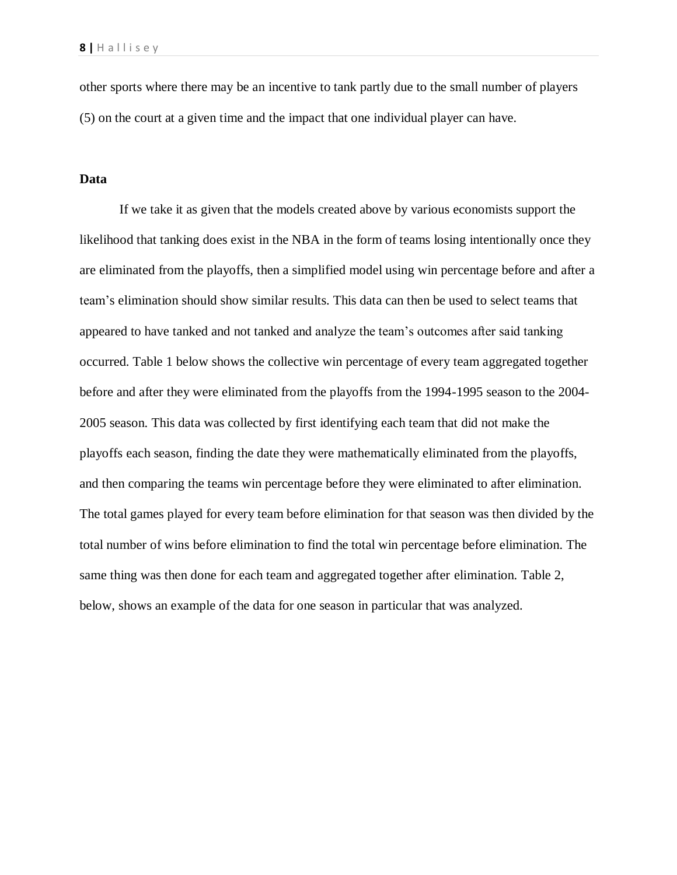other sports where there may be an incentive to tank partly due to the small number of players (5) on the court at a given time and the impact that one individual player can have.

## **Data**

If we take it as given that the models created above by various economists support the likelihood that tanking does exist in the NBA in the form of teams losing intentionally once they are eliminated from the playoffs, then a simplified model using win percentage before and after a team's elimination should show similar results. This data can then be used to select teams that appeared to have tanked and not tanked and analyze the team's outcomes after said tanking occurred. Table 1 below shows the collective win percentage of every team aggregated together before and after they were eliminated from the playoffs from the 1994-1995 season to the 2004- 2005 season. This data was collected by first identifying each team that did not make the playoffs each season, finding the date they were mathematically eliminated from the playoffs, and then comparing the teams win percentage before they were eliminated to after elimination. The total games played for every team before elimination for that season was then divided by the total number of wins before elimination to find the total win percentage before elimination. The same thing was then done for each team and aggregated together after elimination. Table 2, below, shows an example of the data for one season in particular that was analyzed.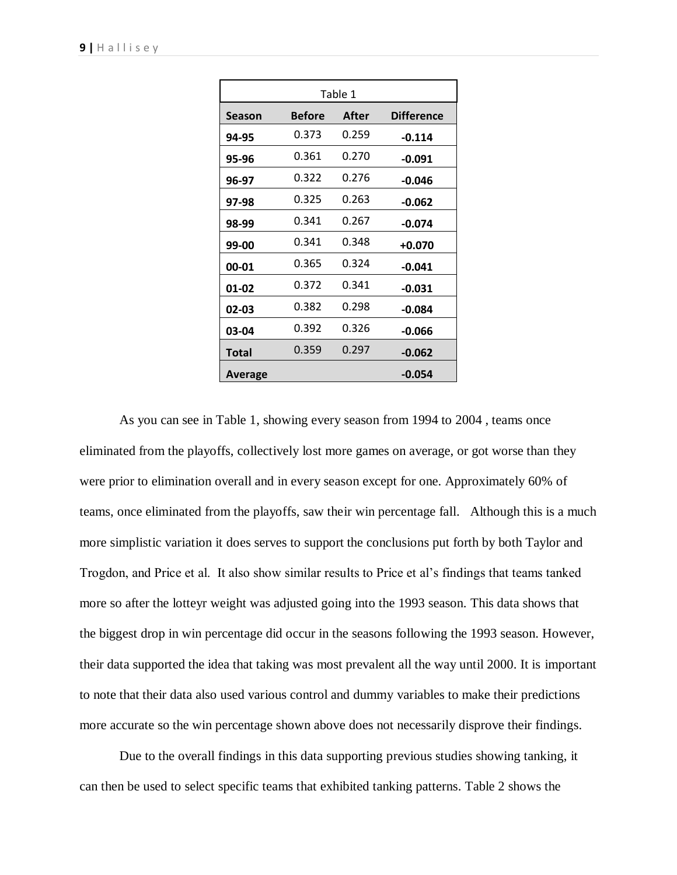| Table 1      |               |       |                   |  |  |  |
|--------------|---------------|-------|-------------------|--|--|--|
| Season       | <b>Before</b> | After | <b>Difference</b> |  |  |  |
| 94-95        | 0.373         | 0.259 | $-0.114$          |  |  |  |
| 95-96        | 0.361         | 0.270 | -0.091            |  |  |  |
| 96-97        | 0.322         | 0.276 | -0.046            |  |  |  |
| 97-98        | 0.325         | 0.263 | -0.062            |  |  |  |
| 98-99        | 0.341         | 0.267 | $-0.074$          |  |  |  |
| 99-00        | 0.341         | 0.348 | $+0.070$          |  |  |  |
| 00-01        | 0.365         | 0.324 | $-0.041$          |  |  |  |
| 01-02        | 0.372         | 0.341 | $-0.031$          |  |  |  |
| 02-03        | 0.382         | 0.298 | -0.084            |  |  |  |
| 03-04        | 0.392         | 0.326 | -0.066            |  |  |  |
| <b>Total</b> | 0.359         | 0.297 | $-0.062$          |  |  |  |
| Average      |               |       | -0.054            |  |  |  |

As you can see in Table 1, showing every season from 1994 to 2004 , teams once eliminated from the playoffs, collectively lost more games on average, or got worse than they were prior to elimination overall and in every season except for one. Approximately 60% of teams, once eliminated from the playoffs, saw their win percentage fall. Although this is a much more simplistic variation it does serves to support the conclusions put forth by both Taylor and Trogdon, and Price et al. It also show similar results to Price et al's findings that teams tanked more so after the lotteyr weight was adjusted going into the 1993 season. This data shows that the biggest drop in win percentage did occur in the seasons following the 1993 season. However, their data supported the idea that taking was most prevalent all the way until 2000. It is important to note that their data also used various control and dummy variables to make their predictions more accurate so the win percentage shown above does not necessarily disprove their findings.

Due to the overall findings in this data supporting previous studies showing tanking, it can then be used to select specific teams that exhibited tanking patterns. Table 2 shows the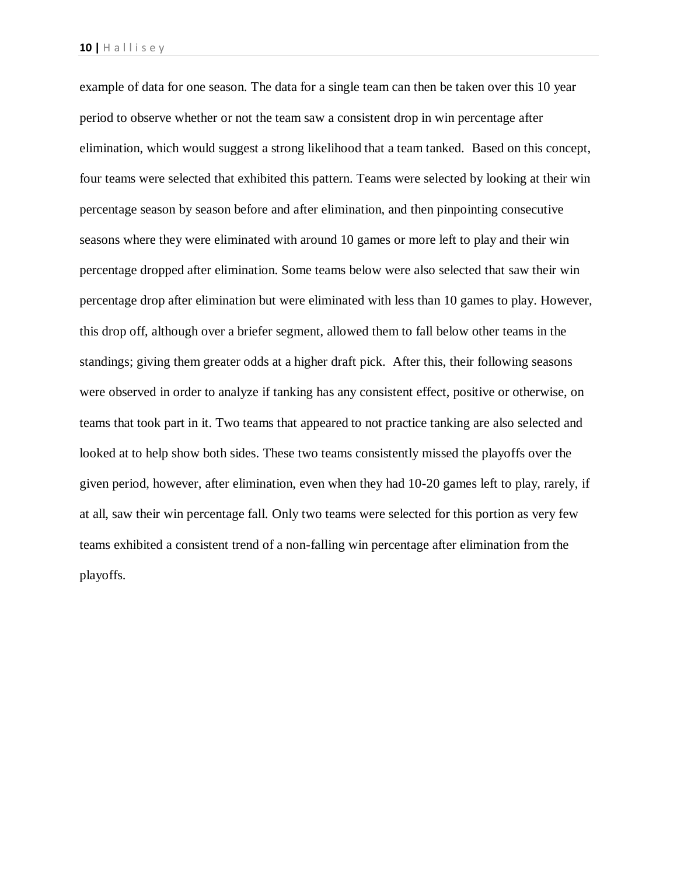example of data for one season. The data for a single team can then be taken over this 10 year period to observe whether or not the team saw a consistent drop in win percentage after elimination, which would suggest a strong likelihood that a team tanked. Based on this concept, four teams were selected that exhibited this pattern. Teams were selected by looking at their win percentage season by season before and after elimination, and then pinpointing consecutive seasons where they were eliminated with around 10 games or more left to play and their win percentage dropped after elimination. Some teams below were also selected that saw their win percentage drop after elimination but were eliminated with less than 10 games to play. However, this drop off, although over a briefer segment, allowed them to fall below other teams in the standings; giving them greater odds at a higher draft pick. After this, their following seasons were observed in order to analyze if tanking has any consistent effect, positive or otherwise, on teams that took part in it. Two teams that appeared to not practice tanking are also selected and looked at to help show both sides. These two teams consistently missed the playoffs over the given period, however, after elimination, even when they had 10-20 games left to play, rarely, if at all, saw their win percentage fall. Only two teams were selected for this portion as very few teams exhibited a consistent trend of a non-falling win percentage after elimination from the playoffs.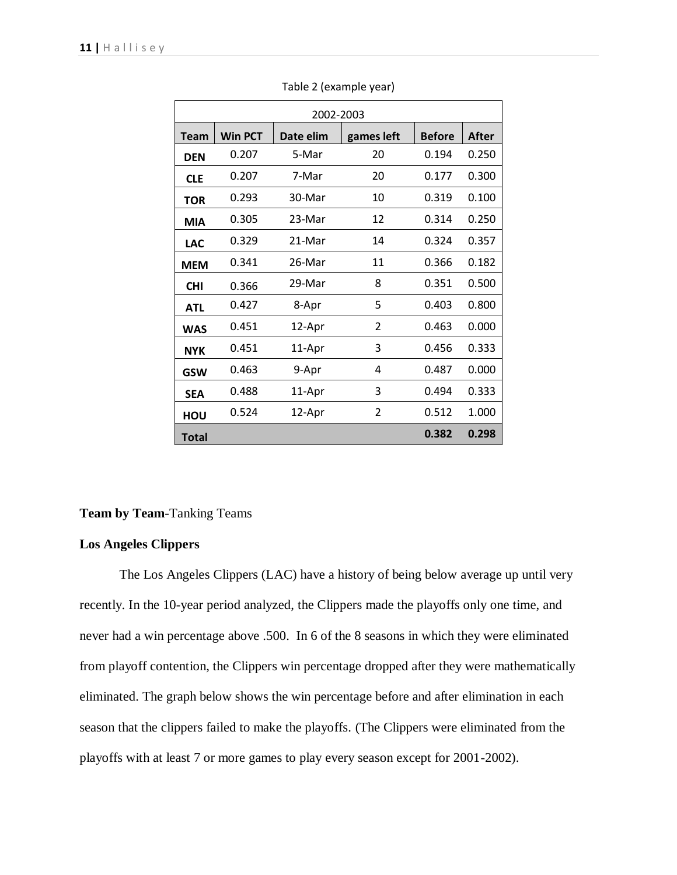| 2002-2003    |                |           |            |               |       |  |  |
|--------------|----------------|-----------|------------|---------------|-------|--|--|
| <b>Team</b>  | <b>Win PCT</b> | Date elim | games left | <b>Before</b> | After |  |  |
| <b>DEN</b>   | 0.207          | 5-Mar     | 20         | 0.194         | 0.250 |  |  |
| <b>CLE</b>   | 0.207          | 7-Mar     | 20         | 0.177         | 0.300 |  |  |
| <b>TOR</b>   | 0.293          | 30-Mar    | 10         | 0.319         | 0.100 |  |  |
| <b>MIA</b>   | 0.305          | 23-Mar    | 12         | 0.314         | 0.250 |  |  |
| <b>LAC</b>   | 0.329          | 21-Mar    | 14         | 0.324         | 0.357 |  |  |
| <b>MEM</b>   | 0.341          | 26-Mar    | 11         | 0.366         | 0.182 |  |  |
| <b>CHI</b>   | 0.366          | 29-Mar    | 8          | 0.351         | 0.500 |  |  |
| <b>ATL</b>   | 0.427          | 8-Apr     | 5          | 0.403         | 0.800 |  |  |
| <b>WAS</b>   | 0.451          | 12-Apr    | 2          | 0.463         | 0.000 |  |  |
| <b>NYK</b>   | 0.451          | 11-Apr    | 3          | 0.456         | 0.333 |  |  |
| <b>GSW</b>   | 0.463          | 9-Apr     | 4          | 0.487         | 0.000 |  |  |
| <b>SEA</b>   | 0.488          | 11-Apr    | 3          | 0.494         | 0.333 |  |  |
| HOU          | 0.524          | 12-Apr    | 2          | 0.512         | 1.000 |  |  |
| <b>Total</b> |                |           |            | 0.382         | 0.298 |  |  |

Table 2 (example year)

# **Team by Team**-Tanking Teams

# **Los Angeles Clippers**

The Los Angeles Clippers (LAC) have a history of being below average up until very recently. In the 10-year period analyzed, the Clippers made the playoffs only one time, and never had a win percentage above .500. In 6 of the 8 seasons in which they were eliminated from playoff contention, the Clippers win percentage dropped after they were mathematically eliminated. The graph below shows the win percentage before and after elimination in each season that the clippers failed to make the playoffs. (The Clippers were eliminated from the playoffs with at least 7 or more games to play every season except for 2001-2002).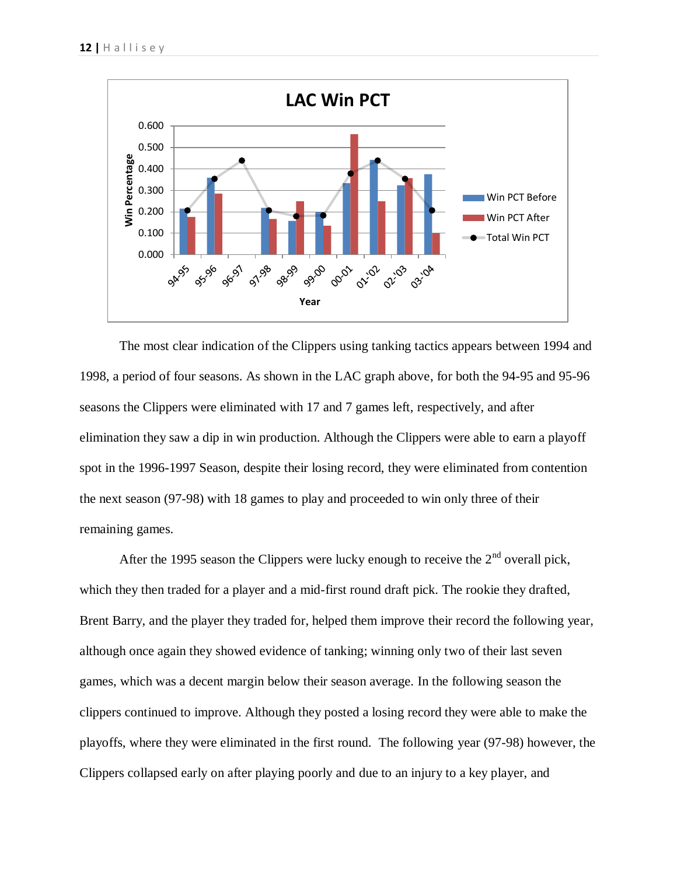

The most clear indication of the Clippers using tanking tactics appears between 1994 and 1998, a period of four seasons. As shown in the LAC graph above, for both the 94-95 and 95-96 seasons the Clippers were eliminated with 17 and 7 games left, respectively, and after elimination they saw a dip in win production. Although the Clippers were able to earn a playoff spot in the 1996-1997 Season, despite their losing record, they were eliminated from contention the next season (97-98) with 18 games to play and proceeded to win only three of their remaining games.

After the 1995 season the Clippers were lucky enough to receive the  $2<sup>nd</sup>$  overall pick, which they then traded for a player and a mid-first round draft pick. The rookie they drafted, Brent Barry, and the player they traded for, helped them improve their record the following year, although once again they showed evidence of tanking; winning only two of their last seven games, which was a decent margin below their season average. In the following season the clippers continued to improve. Although they posted a losing record they were able to make the playoffs, where they were eliminated in the first round. The following year (97-98) however, the Clippers collapsed early on after playing poorly and due to an injury to a key player, and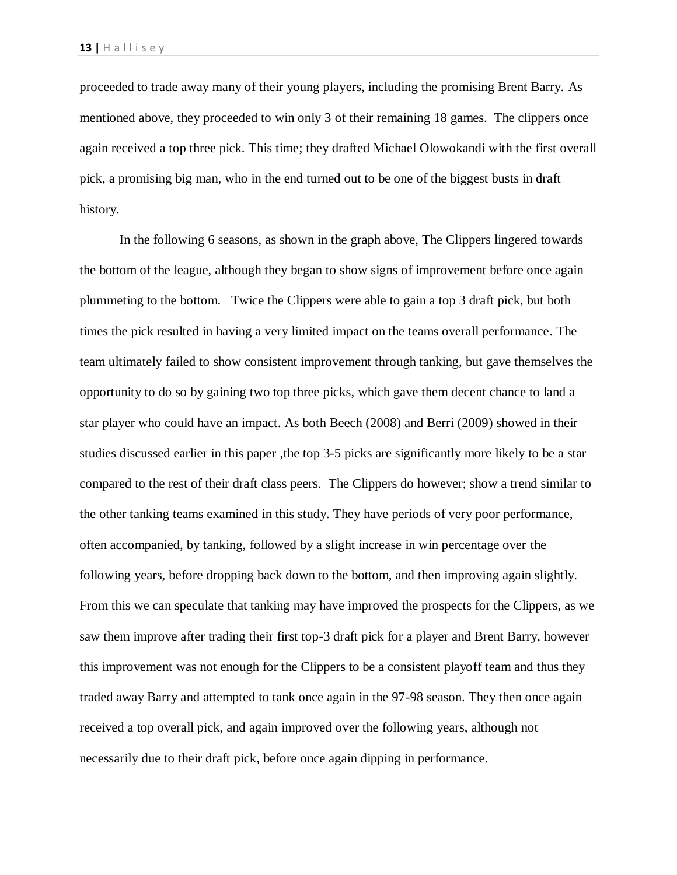proceeded to trade away many of their young players, including the promising Brent Barry. As mentioned above, they proceeded to win only 3 of their remaining 18 games. The clippers once again received a top three pick. This time; they drafted Michael Olowokandi with the first overall pick, a promising big man, who in the end turned out to be one of the biggest busts in draft history.

In the following 6 seasons, as shown in the graph above, The Clippers lingered towards the bottom of the league, although they began to show signs of improvement before once again plummeting to the bottom. Twice the Clippers were able to gain a top 3 draft pick, but both times the pick resulted in having a very limited impact on the teams overall performance. The team ultimately failed to show consistent improvement through tanking, but gave themselves the opportunity to do so by gaining two top three picks, which gave them decent chance to land a star player who could have an impact. As both Beech (2008) and Berri (2009) showed in their studies discussed earlier in this paper ,the top 3-5 picks are significantly more likely to be a star compared to the rest of their draft class peers. The Clippers do however; show a trend similar to the other tanking teams examined in this study. They have periods of very poor performance, often accompanied, by tanking, followed by a slight increase in win percentage over the following years, before dropping back down to the bottom, and then improving again slightly. From this we can speculate that tanking may have improved the prospects for the Clippers, as we saw them improve after trading their first top-3 draft pick for a player and Brent Barry, however this improvement was not enough for the Clippers to be a consistent playoff team and thus they traded away Barry and attempted to tank once again in the 97-98 season. They then once again received a top overall pick, and again improved over the following years, although not necessarily due to their draft pick, before once again dipping in performance.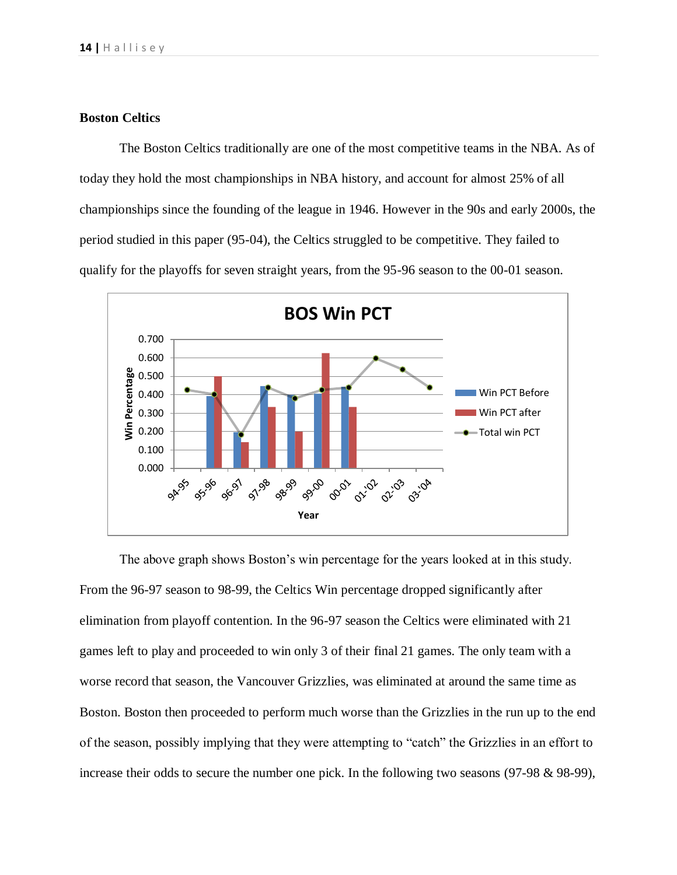# **Boston Celtics**

The Boston Celtics traditionally are one of the most competitive teams in the NBA. As of today they hold the most championships in NBA history, and account for almost 25% of all championships since the founding of the league in 1946. However in the 90s and early 2000s, the period studied in this paper (95-04), the Celtics struggled to be competitive. They failed to qualify for the playoffs for seven straight years, from the 95-96 season to the 00-01 season.



The above graph shows Boston's win percentage for the years looked at in this study. From the 96-97 season to 98-99, the Celtics Win percentage dropped significantly after elimination from playoff contention. In the 96-97 season the Celtics were eliminated with 21 games left to play and proceeded to win only 3 of their final 21 games. The only team with a worse record that season, the Vancouver Grizzlies, was eliminated at around the same time as Boston. Boston then proceeded to perform much worse than the Grizzlies in the run up to the end of the season, possibly implying that they were attempting to "catch" the Grizzlies in an effort to increase their odds to secure the number one pick. In the following two seasons (97-98 & 98-99),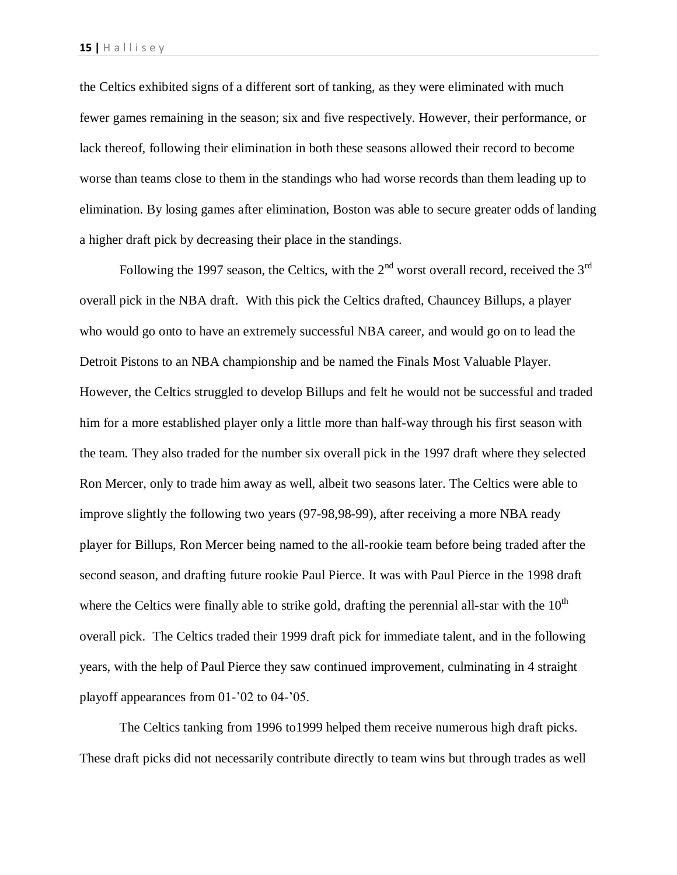the Celtics exhibited signs of a different sort of tanking, as they were eliminated with much fewer games remaining in the season; six and five respectively. However, their performance, or lack thereof, following their elimination in both these seasons allowed their record to become worse than teams close to them in the standings who had worse records than them leading up to elimination. By losing games after elimination, Boston was able to secure greater odds of landing a higher draft pick by decreasing their place in the standings.

Following the 1997 season, the Celtics, with the  $2<sup>nd</sup>$  worst overall record, received the  $3<sup>rd</sup>$ overall pick in the NBA draft. With this pick the Celtics drafted, Chauncey Billups, a player who would go onto to have an extremely successful NBA career, and would go on to lead the Detroit Pistons to an NBA championship and be named the Finals Most Valuable Player. However, the Celtics struggled to develop Billups and felt he would not be successful and traded him for a more established player only a little more than half-way through his first season with the team. They also traded for the number six overall pick in the 1997 draft where they selected Ron Mercer, only to trade him away as well, albeit two seasons later. The Celtics were able to improve slightly the following two years (97-98,98-99), after receiving a more NBA ready player for Billups, Ron Mercer being named to the all-rookie team before being traded after the second season, and drafting future rookie Paul Pierce. It was with Paul Pierce in the 1998 draft where the Celtics were finally able to strike gold, drafting the perennial all-star with the  $10<sup>th</sup>$ overall pick. The Celtics traded their 1999 draft pick for immediate talent, and in the following years, with the help of Paul Pierce they saw continued improvement, culminating in 4 straight playoff appearances from 01-'02 to 04-'05.

The Celtics tanking from 1996 to1999 helped them receive numerous high draft picks. These draft picks did not necessarily contribute directly to team wins but through trades as well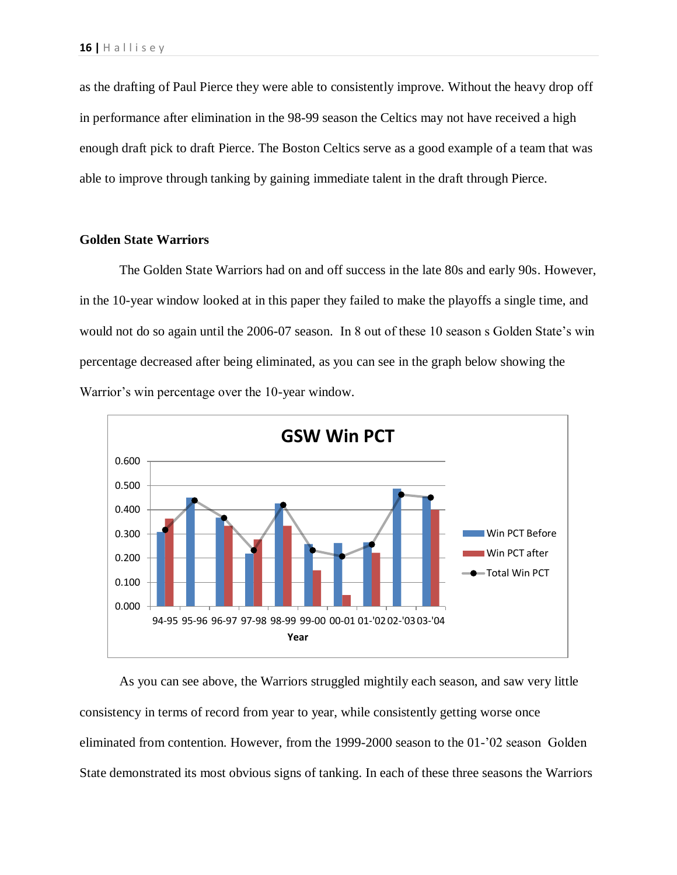as the drafting of Paul Pierce they were able to consistently improve. Without the heavy drop off in performance after elimination in the 98-99 season the Celtics may not have received a high enough draft pick to draft Pierce. The Boston Celtics serve as a good example of a team that was able to improve through tanking by gaining immediate talent in the draft through Pierce.

# **Golden State Warriors**

The Golden State Warriors had on and off success in the late 80s and early 90s. However, in the 10-year window looked at in this paper they failed to make the playoffs a single time, and would not do so again until the 2006-07 season. In 8 out of these 10 season s Golden State's win percentage decreased after being eliminated, as you can see in the graph below showing the Warrior's win percentage over the 10-year window.



As you can see above, the Warriors struggled mightily each season, and saw very little consistency in terms of record from year to year, while consistently getting worse once eliminated from contention. However, from the 1999-2000 season to the 01-'02 season Golden State demonstrated its most obvious signs of tanking. In each of these three seasons the Warriors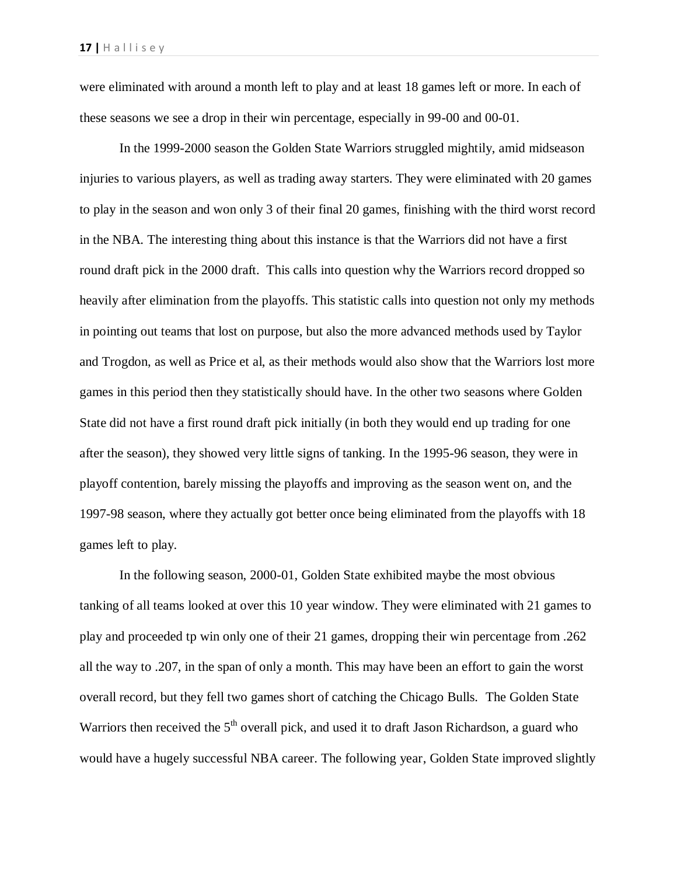were eliminated with around a month left to play and at least 18 games left or more. In each of these seasons we see a drop in their win percentage, especially in 99-00 and 00-01.

In the 1999-2000 season the Golden State Warriors struggled mightily, amid midseason injuries to various players, as well as trading away starters. They were eliminated with 20 games to play in the season and won only 3 of their final 20 games, finishing with the third worst record in the NBA. The interesting thing about this instance is that the Warriors did not have a first round draft pick in the 2000 draft. This calls into question why the Warriors record dropped so heavily after elimination from the playoffs. This statistic calls into question not only my methods in pointing out teams that lost on purpose, but also the more advanced methods used by Taylor and Trogdon, as well as Price et al, as their methods would also show that the Warriors lost more games in this period then they statistically should have. In the other two seasons where Golden State did not have a first round draft pick initially (in both they would end up trading for one after the season), they showed very little signs of tanking. In the 1995-96 season, they were in playoff contention, barely missing the playoffs and improving as the season went on, and the 1997-98 season, where they actually got better once being eliminated from the playoffs with 18 games left to play.

In the following season, 2000-01, Golden State exhibited maybe the most obvious tanking of all teams looked at over this 10 year window. They were eliminated with 21 games to play and proceeded tp win only one of their 21 games, dropping their win percentage from .262 all the way to .207, in the span of only a month. This may have been an effort to gain the worst overall record, but they fell two games short of catching the Chicago Bulls. The Golden State Warriors then received the  $5<sup>th</sup>$  overall pick, and used it to draft Jason Richardson, a guard who would have a hugely successful NBA career. The following year, Golden State improved slightly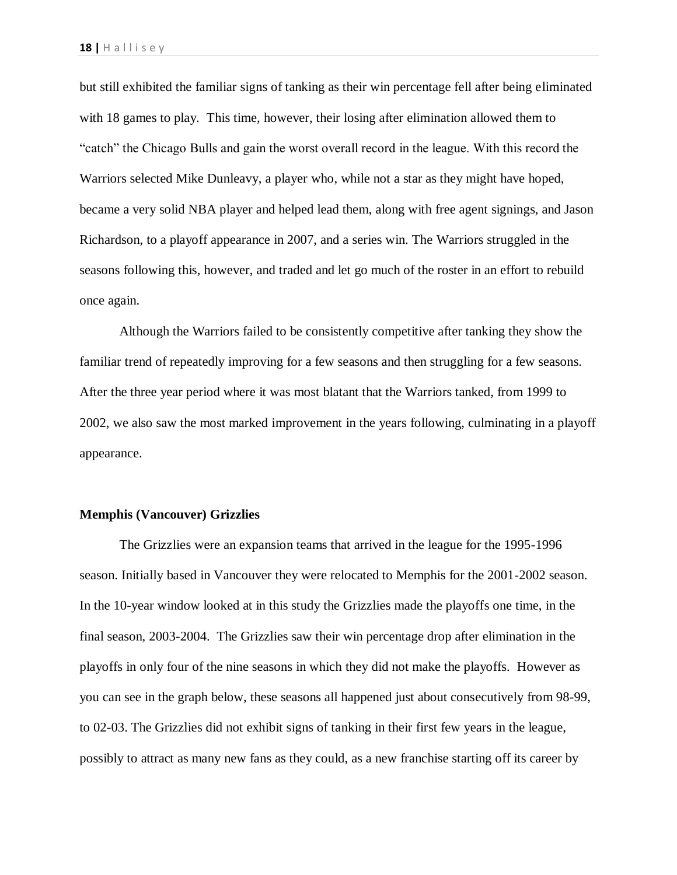but still exhibited the familiar signs of tanking as their win percentage fell after being eliminated with 18 games to play. This time, however, their losing after elimination allowed them to "catch" the Chicago Bulls and gain the worst overall record in the league. With this record the Warriors selected Mike Dunleavy, a player who, while not a star as they might have hoped, became a very solid NBA player and helped lead them, along with free agent signings, and Jason Richardson, to a playoff appearance in 2007, and a series win. The Warriors struggled in the seasons following this, however, and traded and let go much of the roster in an effort to rebuild once again.

Although the Warriors failed to be consistently competitive after tanking they show the familiar trend of repeatedly improving for a few seasons and then struggling for a few seasons. After the three year period where it was most blatant that the Warriors tanked, from 1999 to 2002, we also saw the most marked improvement in the years following, culminating in a playoff appearance.

#### **Memphis (Vancouver) Grizzlies**

The Grizzlies were an expansion teams that arrived in the league for the 1995-1996 season. Initially based in Vancouver they were relocated to Memphis for the 2001-2002 season. In the 10-year window looked at in this study the Grizzlies made the playoffs one time, in the final season, 2003-2004. The Grizzlies saw their win percentage drop after elimination in the playoffs in only four of the nine seasons in which they did not make the playoffs. However as you can see in the graph below, these seasons all happened just about consecutively from 98-99, to 02-03. The Grizzlies did not exhibit signs of tanking in their first few years in the league, possibly to attract as many new fans as they could, as a new franchise starting off its career by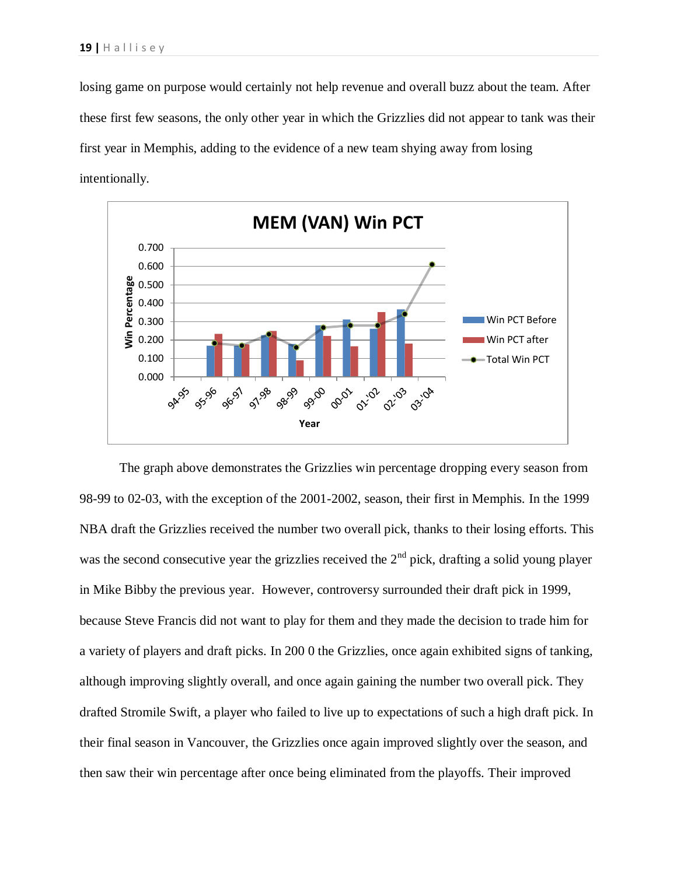losing game on purpose would certainly not help revenue and overall buzz about the team. After these first few seasons, the only other year in which the Grizzlies did not appear to tank was their first year in Memphis, adding to the evidence of a new team shying away from losing intentionally.



The graph above demonstrates the Grizzlies win percentage dropping every season from 98-99 to 02-03, with the exception of the 2001-2002, season, their first in Memphis. In the 1999 NBA draft the Grizzlies received the number two overall pick, thanks to their losing efforts. This was the second consecutive year the grizzlies received the  $2<sup>nd</sup>$  pick, drafting a solid young player in Mike Bibby the previous year. However, controversy surrounded their draft pick in 1999, because Steve Francis did not want to play for them and they made the decision to trade him for a variety of players and draft picks. In 200 0 the Grizzlies, once again exhibited signs of tanking, although improving slightly overall, and once again gaining the number two overall pick. They drafted Stromile Swift, a player who failed to live up to expectations of such a high draft pick. In their final season in Vancouver, the Grizzlies once again improved slightly over the season, and then saw their win percentage after once being eliminated from the playoffs. Their improved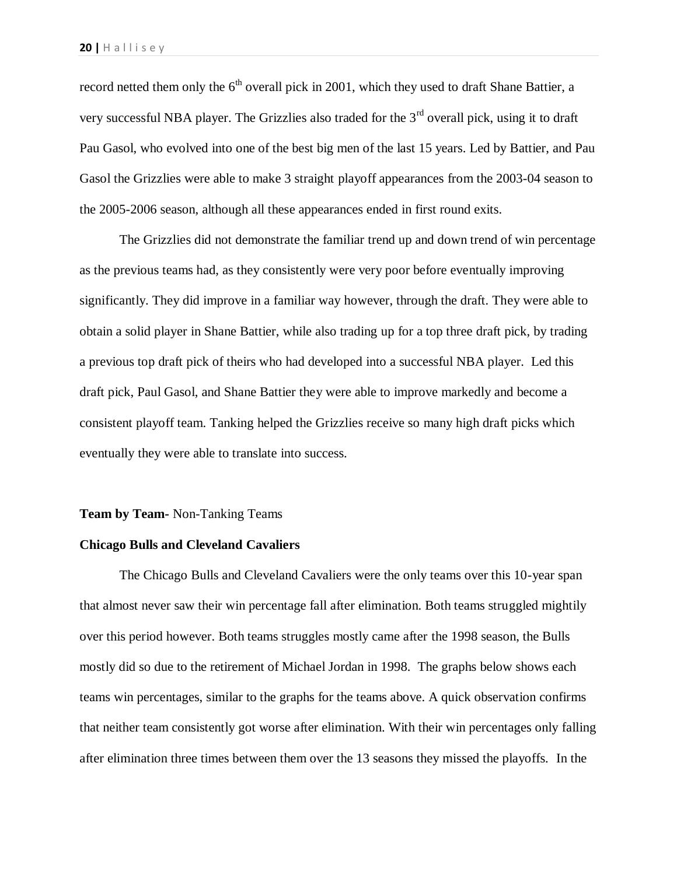record netted them only the  $6<sup>th</sup>$  overall pick in 2001, which they used to draft Shane Battier, a very successful NBA player. The Grizzlies also traded for the 3rd overall pick, using it to draft Pau Gasol, who evolved into one of the best big men of the last 15 years. Led by Battier, and Pau Gasol the Grizzlies were able to make 3 straight playoff appearances from the 2003-04 season to the 2005-2006 season, although all these appearances ended in first round exits.

The Grizzlies did not demonstrate the familiar trend up and down trend of win percentage as the previous teams had, as they consistently were very poor before eventually improving significantly. They did improve in a familiar way however, through the draft. They were able to obtain a solid player in Shane Battier, while also trading up for a top three draft pick, by trading a previous top draft pick of theirs who had developed into a successful NBA player. Led this draft pick, Paul Gasol, and Shane Battier they were able to improve markedly and become a consistent playoff team. Tanking helped the Grizzlies receive so many high draft picks which eventually they were able to translate into success.

#### **Team by Team-** Non-Tanking Teams

# **Chicago Bulls and Cleveland Cavaliers**

The Chicago Bulls and Cleveland Cavaliers were the only teams over this 10-year span that almost never saw their win percentage fall after elimination. Both teams struggled mightily over this period however. Both teams struggles mostly came after the 1998 season, the Bulls mostly did so due to the retirement of Michael Jordan in 1998. The graphs below shows each teams win percentages, similar to the graphs for the teams above. A quick observation confirms that neither team consistently got worse after elimination. With their win percentages only falling after elimination three times between them over the 13 seasons they missed the playoffs. In the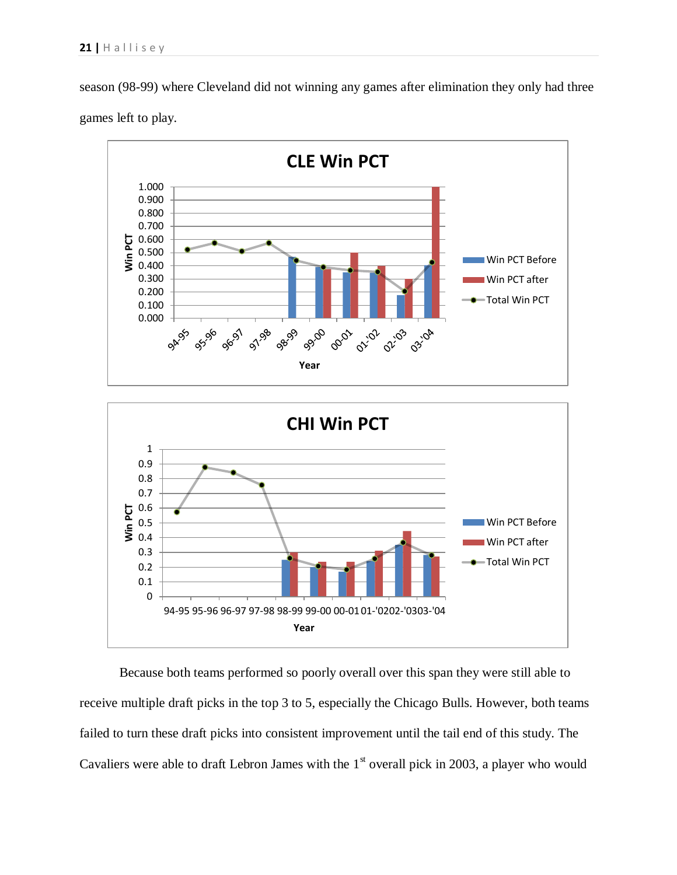season (98-99) where Cleveland did not winning any games after elimination they only had three games left to play.



Because both teams performed so poorly overall over this span they were still able to receive multiple draft picks in the top 3 to 5, especially the Chicago Bulls. However, both teams failed to turn these draft picks into consistent improvement until the tail end of this study. The Cavaliers were able to draft Lebron James with the  $1<sup>st</sup>$  overall pick in 2003, a player who would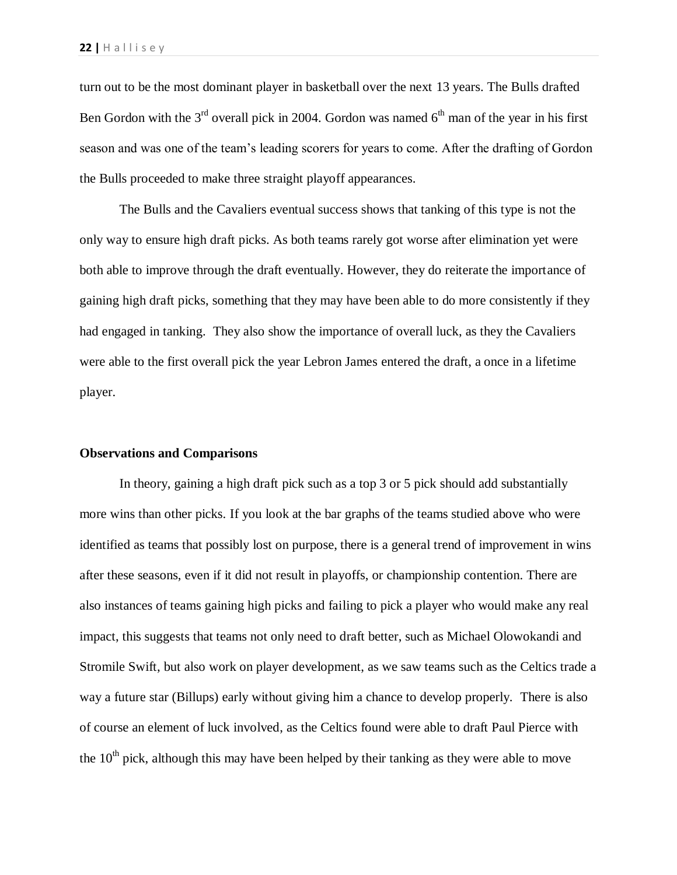turn out to be the most dominant player in basketball over the next 13 years. The Bulls drafted Ben Gordon with the  $3<sup>rd</sup>$  overall pick in 2004. Gordon was named  $6<sup>th</sup>$  man of the year in his first season and was one of the team's leading scorers for years to come. After the drafting of Gordon the Bulls proceeded to make three straight playoff appearances.

The Bulls and the Cavaliers eventual success shows that tanking of this type is not the only way to ensure high draft picks. As both teams rarely got worse after elimination yet were both able to improve through the draft eventually. However, they do reiterate the importance of gaining high draft picks, something that they may have been able to do more consistently if they had engaged in tanking. They also show the importance of overall luck, as they the Cavaliers were able to the first overall pick the year Lebron James entered the draft, a once in a lifetime player.

### **Observations and Comparisons**

In theory, gaining a high draft pick such as a top 3 or 5 pick should add substantially more wins than other picks. If you look at the bar graphs of the teams studied above who were identified as teams that possibly lost on purpose, there is a general trend of improvement in wins after these seasons, even if it did not result in playoffs, or championship contention. There are also instances of teams gaining high picks and failing to pick a player who would make any real impact, this suggests that teams not only need to draft better, such as Michael Olowokandi and Stromile Swift, but also work on player development, as we saw teams such as the Celtics trade a way a future star (Billups) early without giving him a chance to develop properly. There is also of course an element of luck involved, as the Celtics found were able to draft Paul Pierce with the  $10<sup>th</sup>$  pick, although this may have been helped by their tanking as they were able to move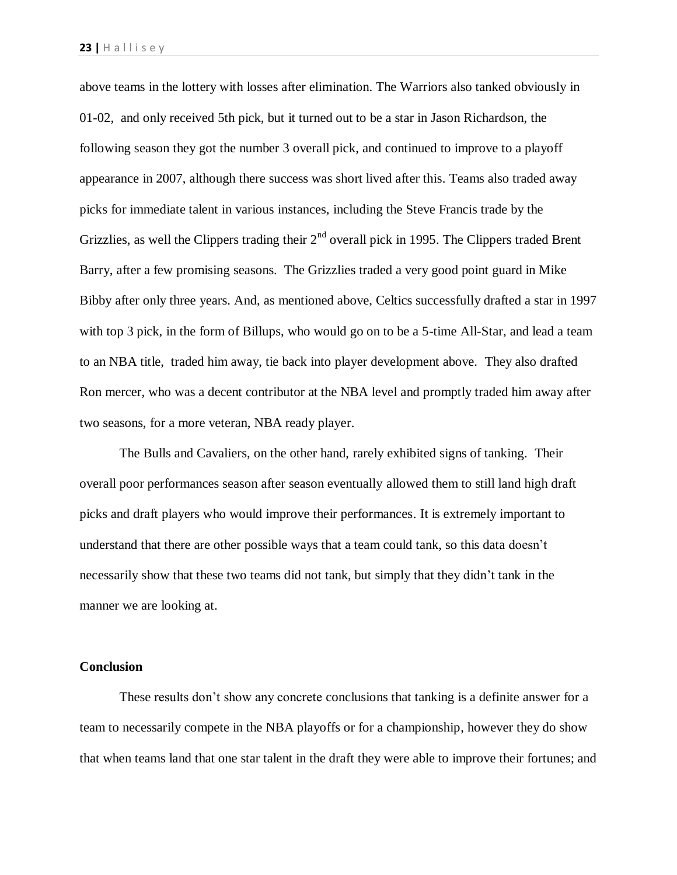above teams in the lottery with losses after elimination. The Warriors also tanked obviously in 01-02, and only received 5th pick, but it turned out to be a star in Jason Richardson, the following season they got the number 3 overall pick, and continued to improve to a playoff appearance in 2007, although there success was short lived after this. Teams also traded away picks for immediate talent in various instances, including the Steve Francis trade by the Grizzlies, as well the Clippers trading their  $2<sup>nd</sup>$  overall pick in 1995. The Clippers traded Brent Barry, after a few promising seasons. The Grizzlies traded a very good point guard in Mike Bibby after only three years. And, as mentioned above, Celtics successfully drafted a star in 1997 with top 3 pick, in the form of Billups, who would go on to be a 5-time All-Star, and lead a team to an NBA title, traded him away, tie back into player development above. They also drafted Ron mercer, who was a decent contributor at the NBA level and promptly traded him away after two seasons, for a more veteran, NBA ready player.

The Bulls and Cavaliers, on the other hand, rarely exhibited signs of tanking. Their overall poor performances season after season eventually allowed them to still land high draft picks and draft players who would improve their performances. It is extremely important to understand that there are other possible ways that a team could tank, so this data doesn't necessarily show that these two teams did not tank, but simply that they didn't tank in the manner we are looking at.

# **Conclusion**

These results don't show any concrete conclusions that tanking is a definite answer for a team to necessarily compete in the NBA playoffs or for a championship, however they do show that when teams land that one star talent in the draft they were able to improve their fortunes; and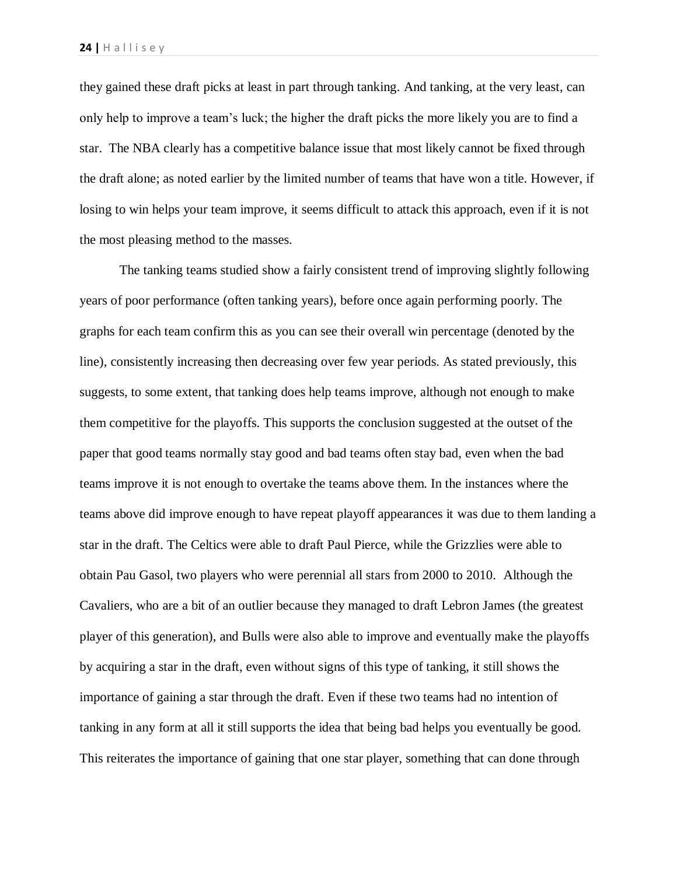they gained these draft picks at least in part through tanking. And tanking, at the very least, can only help to improve a team's luck; the higher the draft picks the more likely you are to find a star. The NBA clearly has a competitive balance issue that most likely cannot be fixed through the draft alone; as noted earlier by the limited number of teams that have won a title. However, if losing to win helps your team improve, it seems difficult to attack this approach, even if it is not the most pleasing method to the masses.

The tanking teams studied show a fairly consistent trend of improving slightly following years of poor performance (often tanking years), before once again performing poorly. The graphs for each team confirm this as you can see their overall win percentage (denoted by the line), consistently increasing then decreasing over few year periods. As stated previously, this suggests, to some extent, that tanking does help teams improve, although not enough to make them competitive for the playoffs. This supports the conclusion suggested at the outset of the paper that good teams normally stay good and bad teams often stay bad, even when the bad teams improve it is not enough to overtake the teams above them. In the instances where the teams above did improve enough to have repeat playoff appearances it was due to them landing a star in the draft. The Celtics were able to draft Paul Pierce, while the Grizzlies were able to obtain Pau Gasol, two players who were perennial all stars from 2000 to 2010. Although the Cavaliers, who are a bit of an outlier because they managed to draft Lebron James (the greatest player of this generation), and Bulls were also able to improve and eventually make the playoffs by acquiring a star in the draft, even without signs of this type of tanking, it still shows the importance of gaining a star through the draft. Even if these two teams had no intention of tanking in any form at all it still supports the idea that being bad helps you eventually be good. This reiterates the importance of gaining that one star player, something that can done through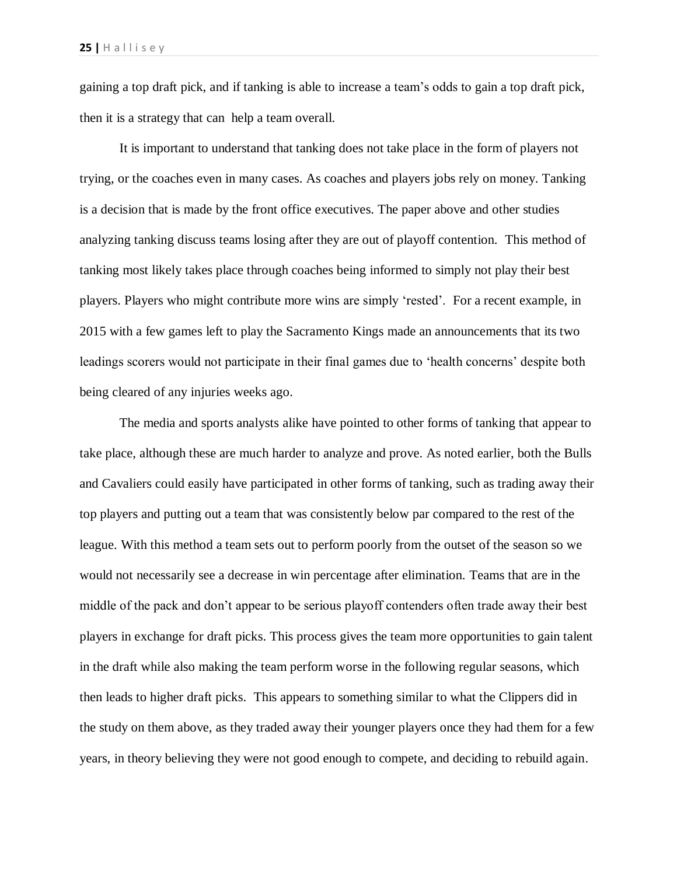gaining a top draft pick, and if tanking is able to increase a team's odds to gain a top draft pick, then it is a strategy that can help a team overall.

It is important to understand that tanking does not take place in the form of players not trying, or the coaches even in many cases. As coaches and players jobs rely on money. Tanking is a decision that is made by the front office executives. The paper above and other studies analyzing tanking discuss teams losing after they are out of playoff contention. This method of tanking most likely takes place through coaches being informed to simply not play their best players. Players who might contribute more wins are simply 'rested'. For a recent example, in 2015 with a few games left to play the Sacramento Kings made an announcements that its two leadings scorers would not participate in their final games due to 'health concerns' despite both being cleared of any injuries weeks ago.

The media and sports analysts alike have pointed to other forms of tanking that appear to take place, although these are much harder to analyze and prove. As noted earlier, both the Bulls and Cavaliers could easily have participated in other forms of tanking, such as trading away their top players and putting out a team that was consistently below par compared to the rest of the league. With this method a team sets out to perform poorly from the outset of the season so we would not necessarily see a decrease in win percentage after elimination. Teams that are in the middle of the pack and don't appear to be serious playoff contenders often trade away their best players in exchange for draft picks. This process gives the team more opportunities to gain talent in the draft while also making the team perform worse in the following regular seasons, which then leads to higher draft picks. This appears to something similar to what the Clippers did in the study on them above, as they traded away their younger players once they had them for a few years, in theory believing they were not good enough to compete, and deciding to rebuild again.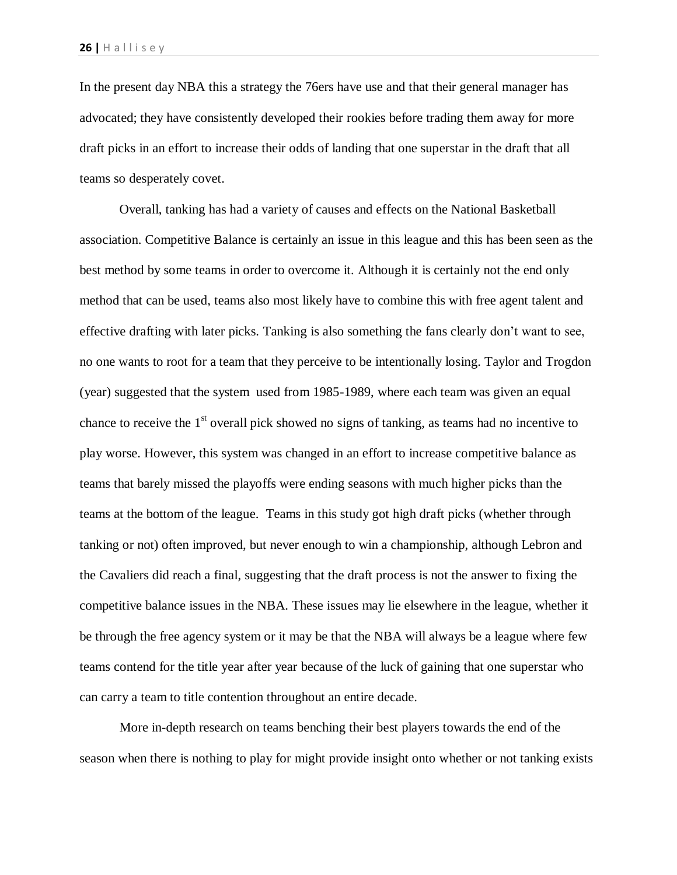In the present day NBA this a strategy the 76ers have use and that their general manager has advocated; they have consistently developed their rookies before trading them away for more draft picks in an effort to increase their odds of landing that one superstar in the draft that all teams so desperately covet.

Overall, tanking has had a variety of causes and effects on the National Basketball association. Competitive Balance is certainly an issue in this league and this has been seen as the best method by some teams in order to overcome it. Although it is certainly not the end only method that can be used, teams also most likely have to combine this with free agent talent and effective drafting with later picks. Tanking is also something the fans clearly don't want to see, no one wants to root for a team that they perceive to be intentionally losing. Taylor and Trogdon (year) suggested that the system used from 1985-1989, where each team was given an equal chance to receive the  $1<sup>st</sup>$  overall pick showed no signs of tanking, as teams had no incentive to play worse. However, this system was changed in an effort to increase competitive balance as teams that barely missed the playoffs were ending seasons with much higher picks than the teams at the bottom of the league. Teams in this study got high draft picks (whether through tanking or not) often improved, but never enough to win a championship, although Lebron and the Cavaliers did reach a final, suggesting that the draft process is not the answer to fixing the competitive balance issues in the NBA. These issues may lie elsewhere in the league, whether it be through the free agency system or it may be that the NBA will always be a league where few teams contend for the title year after year because of the luck of gaining that one superstar who can carry a team to title contention throughout an entire decade.

More in-depth research on teams benching their best players towards the end of the season when there is nothing to play for might provide insight onto whether or not tanking exists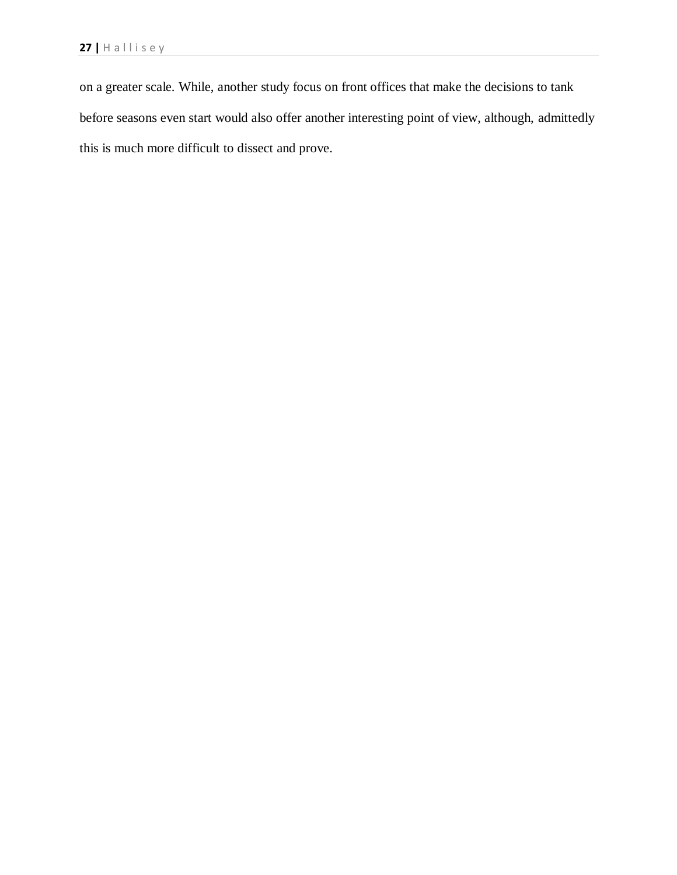on a greater scale. While, another study focus on front offices that make the decisions to tank before seasons even start would also offer another interesting point of view, although, admittedly this is much more difficult to dissect and prove.